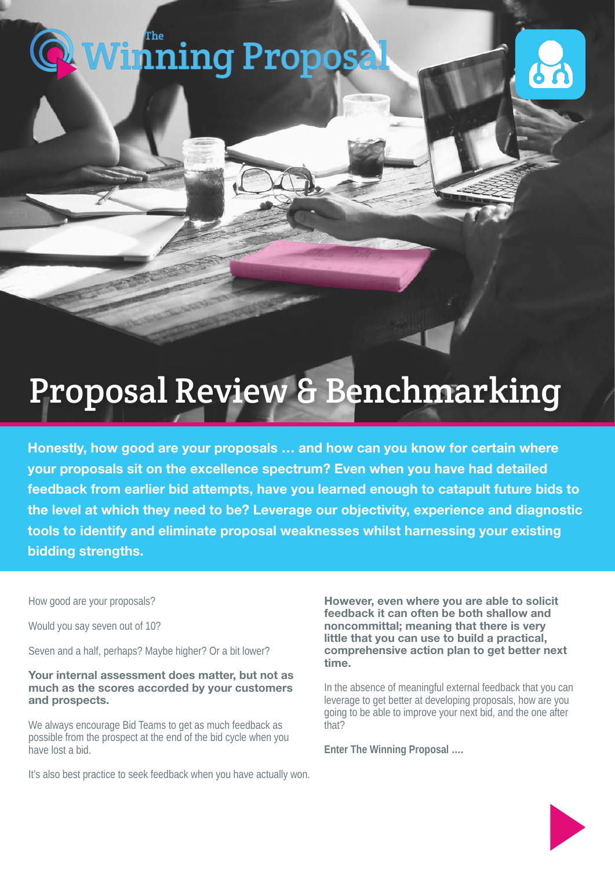# **[Winning Proposal](https://www.thewinningproposal.com)**



# Proposal Review & Benchmarking

Honestly, how good are your proposals … and how can you know for certain where your proposals sit on the excellence spectrum? Even when you have had detailed feedback from earlier bid attempts, have you learned enough to catapult future bids to the level at which they need to be? Leverage our objectivity, experience and diagnostic tools to identify and eliminate proposal weaknesses whilst harnessing your existing bidding strengths.

How good are your proposals?

Would you say seven out of 10?

Seven and a half, perhaps? Maybe higher? Or a bit lower?

#### Your internal assessment does matter, but not as much as the scores accorded by your customers and prospects.

We always encourage Bid Teams to get as much feedback as possible from the prospect at the end of the bid cycle when you have lost a bid.

It's also best practice to seek feedback when you have actually won.

However, even where you are able to solicit feedback it can often be both shallow and noncommittal; meaning that there is very little that you can use to build a practical, comprehensive action plan to get better next time.

In the absence of meaningful external feedback that you can leverage to get better at developing proposals, how are you going to be able to improve your next bid, and the one after that?

**Enter The Winning Proposal ….**

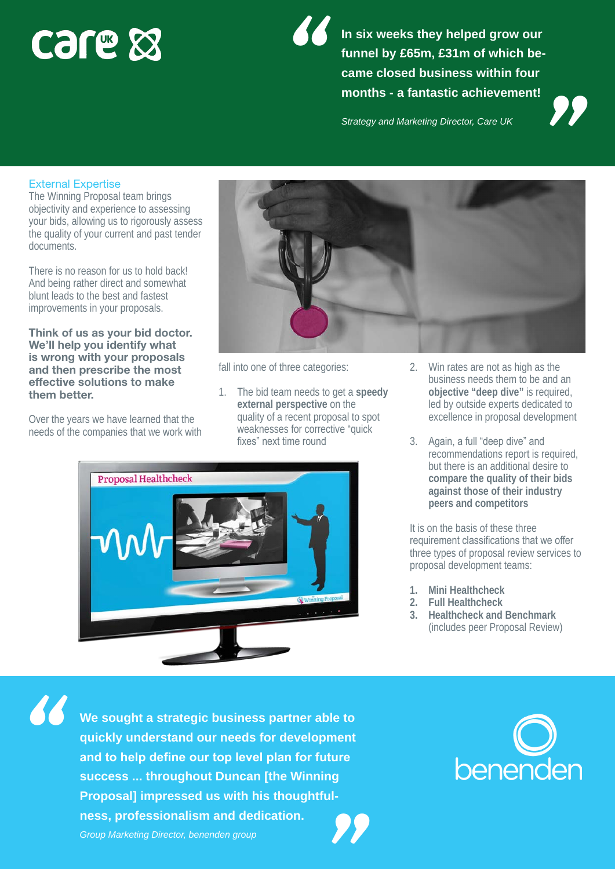# **CSLE &**

**In six weeks they helped grow our funnel by £65m, £31m of which became closed business within four m six weeks they helped grow our<br>funnel by £65m, £31m of which be-<br>came closed business within four<br>months - a fantastic achievement!<br>***Strategy and Marketing Director, Care UK* 

## External Expertise

The Winning Proposal team brings objectivity and experience to assessing your bids, allowing us to rigorously assess the quality of your current and past tender documents.

There is no reason for us to hold back! And being rather direct and somewhat blunt leads to the best and fastest improvements in your proposals.

#### Think of us as your bid doctor. We'll help you identify what is wrong with your proposals and then prescribe the most effective solutions to make them better.

Over the years we have learned that the needs of the companies that we work with



fall into one of three categories:

1. The bid team needs to get a **speedy external perspective** on the quality of a recent proposal to spot weaknesses for corrective "quick fixes" next time round

*"*



- 2. Win rates are not as high as the business needs them to be and an **objective "deep dive"** is required, led by outside experts dedicated to excellence in proposal development
- 3. Again, a full "deep dive" and recommendations report is required, but there is an additional desire to **compare the quality of their bids against those of their industry peers and competitors**

It is on the basis of these three requirement classifications that we offer three types of proposal review services to proposal development teams:

- **1. Mini Healthcheck**
- **2. Full Healthcheck**
- **3. Healthcheck and Benchmark**  (includes peer Proposal Review)

*"*

**We sought a strategic business partner able to quickly understand our needs for development and to help define our top level plan for future success ... throughout Duncan [the Winning Proposal] impressed us with his thoughtfulness, professionalism and dedication.** and to help define our top level plan for future<br>success ... throughout Duncan [the Winning<br>Proposal] impressed us with his thoughtful-<br>ness, professionalism and dedication.<br>Group Marketing Director, benenden group

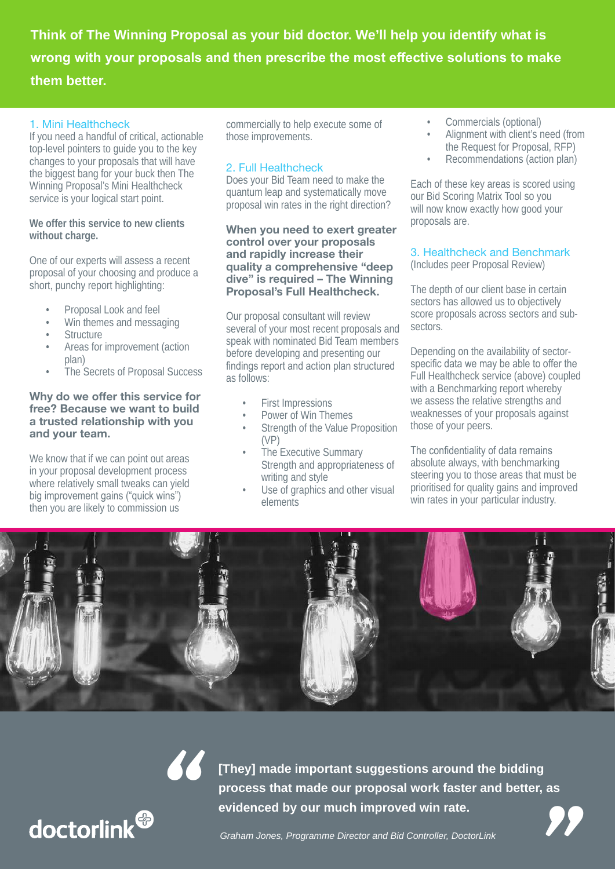**Think of The Winning Proposal as your bid doctor. We'll help you identify what is wrong with your proposals and then prescribe the most effective solutions to make them better.**

#### 1. Mini Healthcheck

If you need a handful of critical, actionable top-level pointers to guide you to the key changes to your proposals that will have the biggest bang for your buck then The Winning Proposal's Mini Healthcheck service is your logical start point.

**We offer this service to new clients without charge.** 

One of our experts will assess a recent proposal of your choosing and produce a short, punchy report highlighting:

- Proposal Look and feel
- Win themes and messaging
- **Structure**
- Areas for improvement (action plan)
- The Secrets of Proposal Success

#### Why do we offer this service for free? Because we want to build a trusted relationship with you and your team.

We know that if we can point out areas in your proposal development process where relatively small tweaks can yield big improvement gains ("quick wins") then you are likely to commission us

commercially to help execute some of those improvements.

### 2. Full Healthcheck

Does your Bid Team need to make the quantum leap and systematically move proposal win rates in the right direction?

When you need to exert greater control over your proposals and rapidly increase their quality a comprehensive "deep dive" is required – The Winning Proposal's Full Healthcheck.

Our proposal consultant will review several of your most recent proposals and speak with nominated Bid Team members before developing and presenting our findings report and action plan structured as follows:

- First Impressions
- Power of Win Themes
- Strength of the Value Proposition (VP)
- The Executive Summary Strength and appropriateness of writing and style
- Use of graphics and other visual elements
- Commercials (optional)
- Alignment with client's need (from the Request for Proposal, RFP)
- Recommendations (action plan)

Each of these key areas is scored using our Bid Scoring Matrix Tool so you will now know exactly how good your proposals are.

### 3. Healthcheck and Benchmark

(Includes peer Proposal Review)

The depth of our client base in certain sectors has allowed us to objectively score proposals across sectors and subsectors.

Depending on the availability of sectorspecific data we may be able to offer the Full Healthcheck service (above) coupled with a Benchmarking report whereby we assess the relative strengths and weaknesses of your proposals against those of your peers.

The confidentiality of data remains absolute always, with benchmarking steering you to those areas that must be prioritised for quality gains and improved win rates in your particular industry.





**[They] made important suggestions around the bidding process that made our proposal work faster and better, as evidenced by our much improved win rate. They] made important suggestions around the bidding<br>process that made our proposal work faster and better, as<br>evidenced by our much improved win rate.<br>***Graham Jones, Programme Director and Bid Controller, DoctorLink*